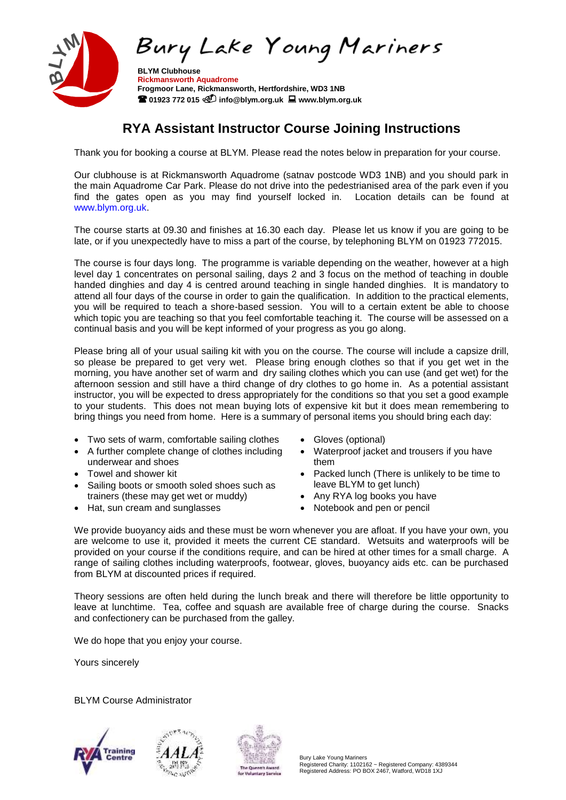

 **Rickmansworth Aquadrome Frogmoor Lane, Rickmansworth, Hertfordshire, WD3 1NB 01923 772 015 info@blym.org.uk www.blym.org.uk**

# **RYA Assistant Instructor Course Joining Instructions**

Thank you for booking a course at BLYM. Please read the notes below in preparation for your course.

Our clubhouse is at Rickmansworth Aquadrome (satnav postcode WD3 1NB) and you should park in the main Aquadrome Car Park. Please do not drive into the pedestrianised area of the park even if you find the gates open as you may find yourself locked in. Location details can be found at www.blym.org.uk.

The course starts at 09.30 and finishes at 16.30 each day. Please let us know if you are going to be late, or if you unexpectedly have to miss a part of the course, by telephoning BLYM on 01923 772015.

The course is four days long. The programme is variable depending on the weather, however at a high level day 1 concentrates on personal sailing, days 2 and 3 focus on the method of teaching in double handed dinghies and day 4 is centred around teaching in single handed dinghies. It is mandatory to attend all four days of the course in order to gain the qualification. In addition to the practical elements, you will be required to teach a shore-based session. You will to a certain extent be able to choose which topic you are teaching so that you feel comfortable teaching it. The course will be assessed on a continual basis and you will be kept informed of your progress as you go along.

Please bring all of your usual sailing kit with you on the course. The course will include a capsize drill, so please be prepared to get very wet. Please bring enough clothes so that if you get wet in the morning, you have another set of warm and dry sailing clothes which you can use (and get wet) for the afternoon session and still have a third change of dry clothes to go home in. As a potential assistant instructor, you will be expected to dress appropriately for the conditions so that you set a good example to your students. This does not mean buying lots of expensive kit but it does mean remembering to bring things you need from home. Here is a summary of personal items you should bring each day:

- Two sets of warm, comfortable sailing clothes
- A further complete change of clothes including underwear and shoes
- Towel and shower kit
- Sailing boots or smooth soled shoes such as trainers (these may get wet or muddy)
- Hat, sun cream and sunglasses
- Gloves (optional)
- Waterproof jacket and trousers if you have them
- Packed lunch (There is unlikely to be time to leave BLYM to get lunch)
- Any RYA log books you have
- Notebook and pen or pencil

We provide buoyancy aids and these must be worn whenever you are afloat. If you have your own, you are welcome to use it, provided it meets the current CE standard. Wetsuits and waterproofs will be provided on your course if the conditions require, and can be hired at other times for a small charge. A range of sailing clothes including waterproofs, footwear, gloves, buoyancy aids etc. can be purchased from BLYM at discounted prices if required.

Theory sessions are often held during the lunch break and there will therefore be little opportunity to leave at lunchtime. Tea, coffee and squash are available free of charge during the course. Snacks and confectionery can be purchased from the galley.

We do hope that you enjoy your course.

Yours sincerely

BLYM Course Administrator





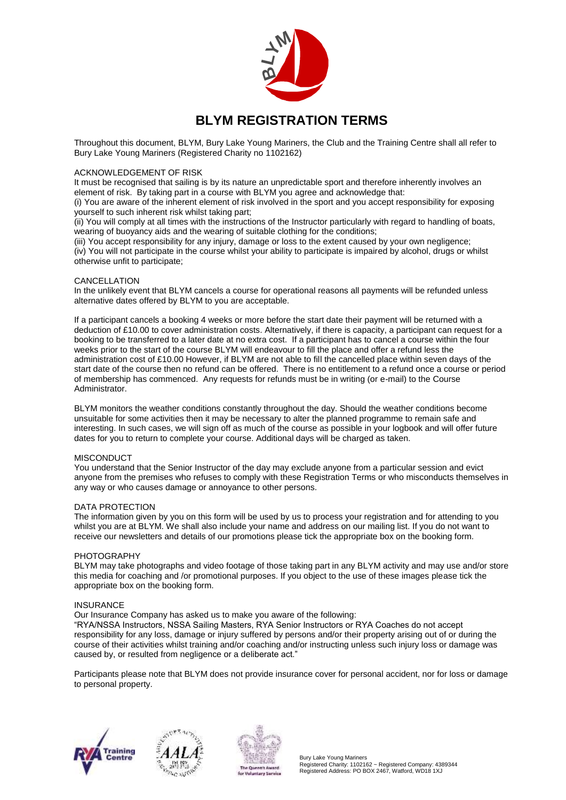

## **BLYM REGISTRATION TERMS**

Throughout this document, BLYM, Bury Lake Young Mariners, the Club and the Training Centre shall all refer to Bury Lake Young Mariners (Registered Charity no 1102162)

#### ACKNOWLEDGEMENT OF RISK

It must be recognised that sailing is by its nature an unpredictable sport and therefore inherently involves an element of risk. By taking part in a course with BLYM you agree and acknowledge that:

(i) You are aware of the inherent element of risk involved in the sport and you accept responsibility for exposing yourself to such inherent risk whilst taking part;

(ii) You will comply at all times with the instructions of the Instructor particularly with regard to handling of boats, wearing of buoyancy aids and the wearing of suitable clothing for the conditions;

(iii) You accept responsibility for any injury, damage or loss to the extent caused by your own negligence; (iv) You will not participate in the course whilst your ability to participate is impaired by alcohol, drugs or whilst otherwise unfit to participate;

#### CANCELLATION

In the unlikely event that BLYM cancels a course for operational reasons all payments will be refunded unless alternative dates offered by BLYM to you are acceptable.

If a participant cancels a booking 4 weeks or more before the start date their payment will be returned with a deduction of £10.00 to cover administration costs. Alternatively, if there is capacity, a participant can request for a booking to be transferred to a later date at no extra cost. If a participant has to cancel a course within the four weeks prior to the start of the course BLYM will endeavour to fill the place and offer a refund less the administration cost of £10.00 However, if BLYM are not able to fill the cancelled place within seven days of the start date of the course then no refund can be offered. There is no entitlement to a refund once a course or period of membership has commenced. Any requests for refunds must be in writing (or e-mail) to the Course Administrator.

BLYM monitors the weather conditions constantly throughout the day. Should the weather conditions become unsuitable for some activities then it may be necessary to alter the planned programme to remain safe and interesting. In such cases, we will sign off as much of the course as possible in your logbook and will offer future dates for you to return to complete your course. Additional days will be charged as taken.

#### **MISCONDUCT**

You understand that the Senior Instructor of the day may exclude anyone from a particular session and evict anyone from the premises who refuses to comply with these Registration Terms or who misconducts themselves in any way or who causes damage or annoyance to other persons.

#### DATA PROTECTION

The information given by you on this form will be used by us to process your registration and for attending to you whilst you are at BLYM. We shall also include your name and address on our mailing list. If you do not want to receive our newsletters and details of our promotions please tick the appropriate box on the booking form.

#### PHOTOGRAPHY

BLYM may take photographs and video footage of those taking part in any BLYM activity and may use and/or store this media for coaching and /or promotional purposes. If you object to the use of these images please tick the appropriate box on the booking form.

#### **INSURANCE**

Our Insurance Company has asked us to make you aware of the following:

"RYA/NSSA Instructors, NSSA Sailing Masters, RYA Senior Instructors or RYA Coaches do not accept responsibility for any loss, damage or injury suffered by persons and/or their property arising out of or during the course of their activities whilst training and/or coaching and/or instructing unless such injury loss or damage was caused by, or resulted from negligence or a deliberate act."

Participants please note that BLYM does not provide insurance cover for personal accident, nor for loss or damage to personal property.







Bury Lake Young Mariners Registered Charity: 1102162 ~ Registered Company: 4389344 Registered Address: PO BOX 2467, Watford, WD18 1XJ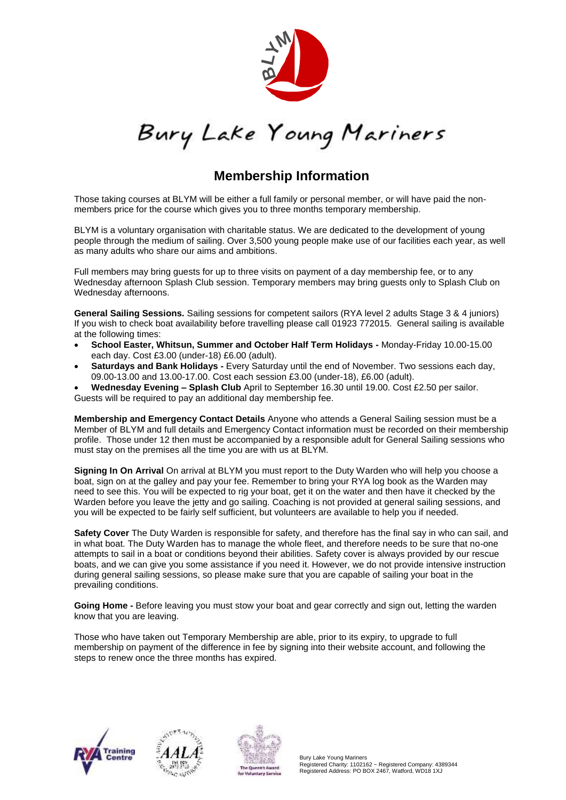

Bury Lake Young Mariners

## **Membership Information**

Those taking courses at BLYM will be either a full family or personal member, or will have paid the nonmembers price for the course which gives you to three months temporary membership.

BLYM is a voluntary organisation with charitable status. We are dedicated to the development of young people through the medium of sailing. Over 3,500 young people make use of our facilities each year, as well as many adults who share our aims and ambitions.

Full members may bring guests for up to three visits on payment of a day membership fee, or to any Wednesday afternoon Splash Club session. Temporary members may bring guests only to Splash Club on Wednesday afternoons.

**General Sailing Sessions.** Sailing sessions for competent sailors (RYA level 2 adults Stage 3 & 4 juniors) If you wish to check boat availability before travelling please call 01923 772015. General sailing is available at the following times:

- **School Easter, Whitsun, Summer and October Half Term Holidays -** Monday-Friday 10.00-15.00 each day. Cost £3.00 (under-18) £6.00 (adult).
- **Saturdays and Bank Holidays -** Every Saturday until the end of November. Two sessions each day, 09.00-13.00 and 13.00-17.00. Cost each session £3.00 (under-18), £6.00 (adult).
- **Wednesday Evening – Splash Club** April to September 16.30 until 19.00. Cost £2.50 per sailor. Guests will be required to pay an additional day membership fee.

**Membership and Emergency Contact Details** Anyone who attends a General Sailing session must be a Member of BLYM and full details and Emergency Contact information must be recorded on their membership profile.Those under 12 then must be accompanied by a responsible adult for General Sailing sessions who must stay on the premises all the time you are with us at BLYM.

**Signing In On Arrival** On arrival at BLYM you must report to the Duty Warden who will help you choose a boat, sign on at the galley and pay your fee. Remember to bring your RYA log book as the Warden may need to see this. You will be expected to rig your boat, get it on the water and then have it checked by the Warden before you leave the jetty and go sailing. Coaching is not provided at general sailing sessions, and you will be expected to be fairly self sufficient, but volunteers are available to help you if needed.

**Safety Cover** The Duty Warden is responsible for safety, and therefore has the final say in who can sail, and in what boat. The Duty Warden has to manage the whole fleet, and therefore needs to be sure that no-one attempts to sail in a boat or conditions beyond their abilities. Safety cover is always provided by our rescue boats, and we can give you some assistance if you need it. However, we do not provide intensive instruction during general sailing sessions, so please make sure that you are capable of sailing your boat in the prevailing conditions.

**Going Home -** Before leaving you must stow your boat and gear correctly and sign out, letting the warden know that you are leaving.

Those who have taken out Temporary Membership are able, prior to its expiry, to upgrade to full membership on payment of the difference in fee by signing into their website account, and following the steps to renew once the three months has expired.





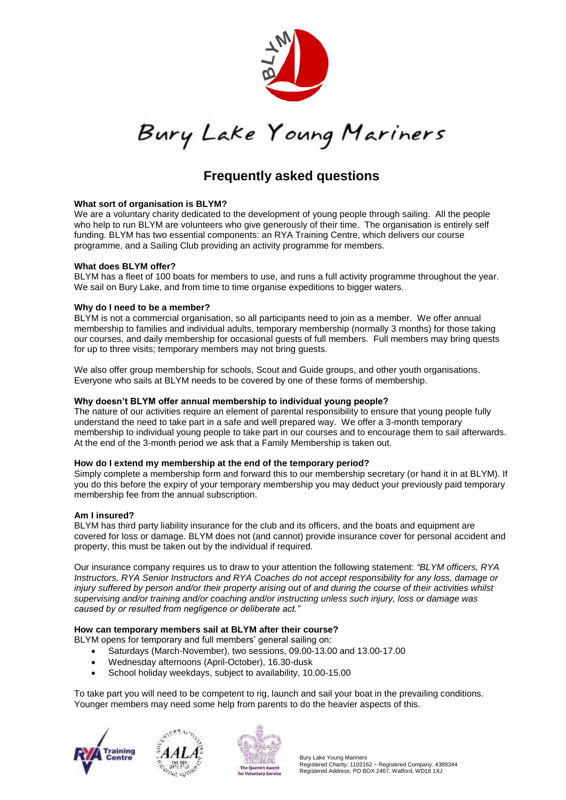

Bury Lake Young Mariners

## **Frequently asked questions**

## **What sort of organisation is BLYM?**

We are a voluntary charity dedicated to the development of young people through sailing. All the people who help to run BLYM are volunteers who give generously of their time. The organisation is entirely self funding. BLYM has two essential components: an RYA Training Centre, which delivers our course programme, and a Sailing Club providing an activity programme for members.

## **What does BLYM offer?**

BLYM has a fleet of 100 boats for members to use, and runs a full activity programme throughout the year. We sail on Bury Lake, and from time to time organise expeditions to bigger waters.

## **Why do I need to be a member?**

BLYM is not a commercial organisation, so all participants need to join as a member. We offer annual membership to families and individual adults, temporary membership (normally 3 months) for those taking our courses, and daily membership for occasional guests of full members. Full members may bring quests for up to three visits; temporary members may not bring guests.

We also offer group membership for schools, Scout and Guide groups, and other youth organisations. Everyone who sails at BLYM needs to be covered by one of these forms of membership.

## **Why doesn't BLYM offer annual membership to individual young people?**

The nature of our activities require an element of parental responsibility to ensure that young people fully understand the need to take part in a safe and well prepared way. We offer a 3-month temporary membership to individual young people to take part in our courses and to encourage them to sail afterwards. At the end of the 3-month period we ask that a Family Membership is taken out.

## **How do I extend my membership at the end of the temporary period?**

Simply complete a membership form and forward this to our membership secretary (or hand it in at BLYM). If you do this before the expiry of your temporary membership you may deduct your previously paid temporary membership fee from the annual subscription.

## **Am I insured?**

BLYM has third party liability insurance for the club and its officers, and the boats and equipment are covered for loss or damage. BLYM does not (and cannot) provide insurance cover for personal accident and property, this must be taken out by the individual if required.

Our insurance company requires us to draw to your attention the following statement: *"BLYM officers, RYA Instructors, RYA Senior Instructors and RYA Coaches do not accept responsibility for any loss, damage or injury suffered by person and/or their property arising out of and during the course of their activities whilst supervising and/or training and/or coaching and/or instructing unless such injury, loss or damage was caused by or resulted from negligence or deliberate act."*

## **How can temporary members sail at BLYM after their course?**

BLYM opens for temporary and full members' general sailing on:

- Saturdays (March-November), two sessions, 09.00-13.00 and 13.00-17.00
- Wednesday afternoons (April-October), 16.30-dusk
- School holiday weekdays, subject to availability, 10.00-15.00

To take part you will need to be competent to rig, launch and sail your boat in the prevailing conditions. Younger members may need some help from parents to do the heavier aspects of this.